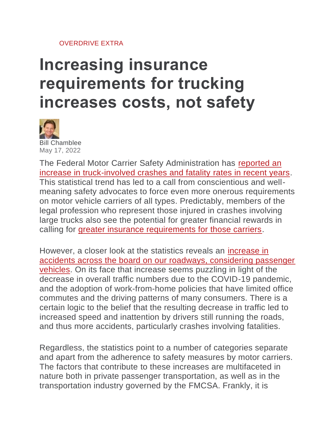## [OVERDRIVE EXTRA](https://www.overdriveonline.com/overdrive-extra)

## **Increasing insurance requirements for trucking increases costs, not safety**



[Bill Chamblee](https://www.overdriveonline.com/authors/contact/15292069/bill-chamblee) May 17, 2022

The Federal Motor Carrier Safety Administration has [reported an](https://www.overdriveonline.com/regulations/article/15281356/fatal-crashes-involving-large-trucks-at-highest-level-since-2005)  [increase in truck-involved crashes and fatality rates in recent years.](https://www.overdriveonline.com/regulations/article/15281356/fatal-crashes-involving-large-trucks-at-highest-level-since-2005) This statistical trend has led to a call from conscientious and wellmeaning safety advocates to force even more onerous requirements on motor vehicle carriers of all types. Predictably, members of the legal profession who represent those injured in crashes involving large trucks also see the potential for greater financial rewards in calling for [greater insurance requirements for those carriers.](https://www.overdriveonline.com/business/article/15292012/diesel-fuel-shortage-hits-the-northeast-insurance-minimum-increase-stymied-by-insurance-industry-lack-of-data)

However, a closer look at the statistics reveals an [increase in](https://www.overdriveonline.com/life/article/15289239/truckinvolved-crash-deaths-dip-despite-overall-traffic-fatalities-increase-i75-closure-this-weekend)  [accidents across the board on our roadways, considering passenger](https://www.overdriveonline.com/life/article/15289239/truckinvolved-crash-deaths-dip-despite-overall-traffic-fatalities-increase-i75-closure-this-weekend)  [vehicles.](https://www.overdriveonline.com/life/article/15289239/truckinvolved-crash-deaths-dip-despite-overall-traffic-fatalities-increase-i75-closure-this-weekend) On its face that increase seems puzzling in light of the decrease in overall traffic numbers due to the COVID-19 pandemic, and the adoption of work-from-home policies that have limited office commutes and the driving patterns of many consumers. There is a certain logic to the belief that the resulting decrease in traffic led to increased speed and inattention by drivers still running the roads, and thus more accidents, particularly crashes involving fatalities.

Regardless, the statistics point to a number of categories separate and apart from the adherence to safety measures by motor carriers. The factors that contribute to these increases are multifaceted in nature both in private passenger transportation, as well as in the transportation industry governed by the FMCSA. Frankly, it is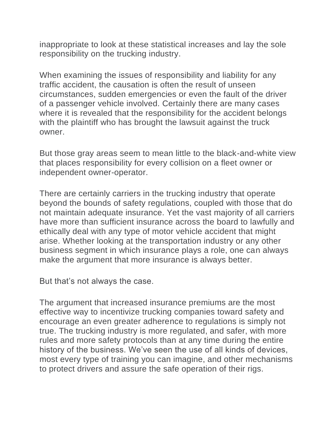inappropriate to look at these statistical increases and lay the sole responsibility on the trucking industry.

When examining the issues of responsibility and liability for any traffic accident, the causation is often the result of unseen circumstances, sudden emergencies or even the fault of the driver of a passenger vehicle involved. Certainly there are many cases where it is revealed that the responsibility for the accident belongs with the plaintiff who has brought the lawsuit against the truck owner.

But those gray areas seem to mean little to the black-and-white view that places responsibility for every collision on a fleet owner or independent owner-operator.

There are certainly carriers in the trucking industry that operate beyond the bounds of safety regulations, coupled with those that do not maintain adequate insurance. Yet the vast majority of all carriers have more than sufficient insurance across the board to lawfully and ethically deal with any type of motor vehicle accident that might arise. Whether looking at the transportation industry or any other business segment in which insurance plays a role, one can always make the argument that more insurance is always better.

But that's not always the case.

The argument that increased insurance premiums are the most effective way to incentivize trucking companies toward safety and encourage an even greater adherence to regulations is simply not true. The trucking industry is more regulated, and safer, with more rules and more safety protocols than at any time during the entire history of the business. We've seen the use of all kinds of devices, most every type of training you can imagine, and other mechanisms to protect drivers and assure the safe operation of their rigs.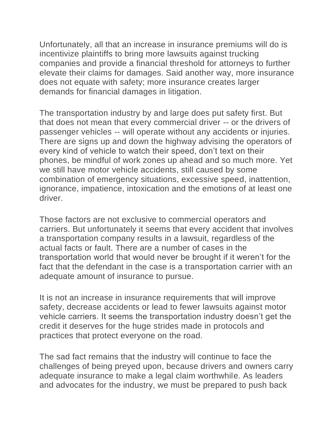Unfortunately, all that an increase in insurance premiums will do is incentivize plaintiffs to bring more lawsuits against trucking companies and provide a financial threshold for attorneys to further elevate their claims for damages. Said another way, more insurance does not equate with safety; more insurance creates larger demands for financial damages in litigation.

The transportation industry by and large does put safety first. But that does not mean that every commercial driver -- or the drivers of passenger vehicles -- will operate without any accidents or injuries. There are signs up and down the highway advising the operators of every kind of vehicle to watch their speed, don't text on their phones, be mindful of work zones up ahead and so much more. Yet we still have motor vehicle accidents, still caused by some combination of emergency situations, excessive speed, inattention, ignorance, impatience, intoxication and the emotions of at least one driver.

Those factors are not exclusive to commercial operators and carriers. But unfortunately it seems that every accident that involves a transportation company results in a lawsuit, regardless of the actual facts or fault. There are a number of cases in the transportation world that would never be brought if it weren't for the fact that the defendant in the case is a transportation carrier with an adequate amount of insurance to pursue.

It is not an increase in insurance requirements that will improve safety, decrease accidents or lead to fewer lawsuits against motor vehicle carriers. It seems the transportation industry doesn't get the credit it deserves for the huge strides made in protocols and practices that protect everyone on the road.

The sad fact remains that the industry will continue to face the challenges of being preyed upon, because drivers and owners carry adequate insurance to make a legal claim worthwhile. As leaders and advocates for the industry, we must be prepared to push back